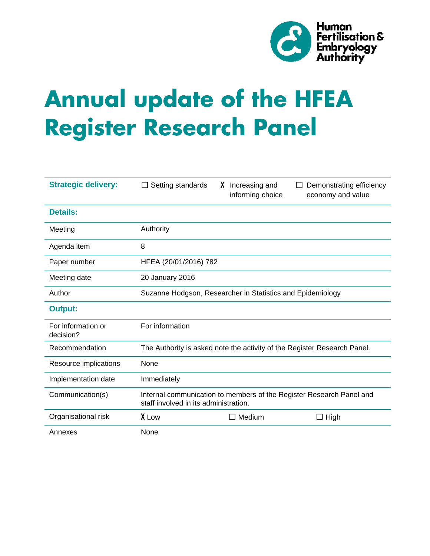

# **Annual update of the HFEA Register Research Panel**

| <b>Strategic delivery:</b>      | Setting standards<br>ப                                                                                        | X Increasing and<br>informing choice | Demonstrating efficiency<br>ப<br>economy and value |
|---------------------------------|---------------------------------------------------------------------------------------------------------------|--------------------------------------|----------------------------------------------------|
| <b>Details:</b>                 |                                                                                                               |                                      |                                                    |
| Meeting                         | Authority                                                                                                     |                                      |                                                    |
| Agenda item                     | 8                                                                                                             |                                      |                                                    |
| Paper number                    | HFEA (20/01/2016) 782                                                                                         |                                      |                                                    |
| Meeting date                    | 20 January 2016                                                                                               |                                      |                                                    |
| Author                          | Suzanne Hodgson, Researcher in Statistics and Epidemiology                                                    |                                      |                                                    |
| <b>Output:</b>                  |                                                                                                               |                                      |                                                    |
| For information or<br>decision? | For information                                                                                               |                                      |                                                    |
| Recommendation                  | The Authority is asked note the activity of the Register Research Panel.                                      |                                      |                                                    |
| Resource implications           | None                                                                                                          |                                      |                                                    |
| Implementation date             | Immediately                                                                                                   |                                      |                                                    |
| Communication(s)                | Internal communication to members of the Register Research Panel and<br>staff involved in its administration. |                                      |                                                    |
| Organisational risk             | X Low                                                                                                         | $\square$ Medium                     | $\Box$ High                                        |
| Annexes                         | None                                                                                                          |                                      |                                                    |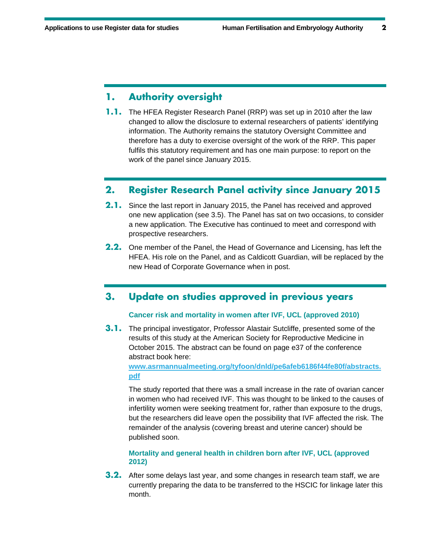# **1. Authority oversight**

**1.1.** The HFEA Register Research Panel (RRP) was set up in 2010 after the law changed to allow the disclosure to external researchers of patients' identifying information. The Authority remains the statutory Oversight Committee and therefore has a duty to exercise oversight of the work of the RRP. This paper fulfils this statutory requirement and has one main purpose: to report on the work of the panel since January 2015.

# **2. Register Research Panel activity since January 2015**

- **2.1.** Since the last report in January 2015, the Panel has received and approved one new application (see 3.5). The Panel has sat on two occasions, to consider a new application. The Executive has continued to meet and correspond with prospective researchers.
- **2.2.** One member of the Panel, the Head of Governance and Licensing, has left the HFEA. His role on the Panel, and as Caldicott Guardian, will be replaced by the new Head of Corporate Governance when in post.

## **3. Update on studies approved in previous years**

#### **Cancer risk and mortality in women after IVF, UCL (approved 2010)**

**3.1.** The principal investigator, Professor Alastair Sutcliffe, presented some of the results of this study at the American Society for Reproductive Medicine in October 2015. The abstract can be found on page e37 of the conference abstract book here:

**www.asrmannualmeeting.org/tyfoon/dnld/pe6afeb6186f44fe80f/abstracts. pdf**

The study reported that there was a small increase in the rate of ovarian cancer in women who had received IVF. This was thought to be linked to the causes of infertility women were seeking treatment for, rather than exposure to the drugs, but the researchers did leave open the possibility that IVF affected the risk. The remainder of the analysis (covering breast and uterine cancer) should be published soon.

## **Mortality and general health in children born after IVF, UCL (approved 2012)**

**3.2.** After some delays last year, and some changes in research team staff, we are currently preparing the data to be transferred to the HSCIC for linkage later this month.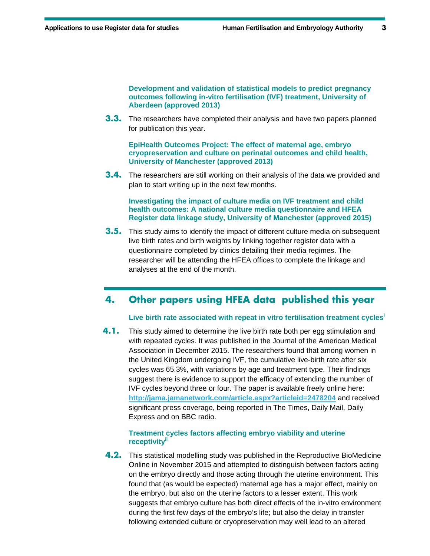**Development and validation of statistical models to predict pregnancy outcomes following in-vitro fertilisation (IVF) treatment, University of Aberdeen (approved 2013)** 

**3.3.** The researchers have completed their analysis and have two papers planned for publication this year.

**EpiHealth Outcomes Project: The effect of maternal age, embryo cryopreservation and culture on perinatal outcomes and child health, University of Manchester (approved 2013)** 

**3.4.** The researchers are still working on their analysis of the data we provided and plan to start writing up in the next few months.

**Investigating the impact of culture media on IVF treatment and child health outcomes: A national culture media questionnaire and HFEA Register data linkage study, University of Manchester (approved 2015)** 

**3.5.** This study aims to identify the impact of different culture media on subsequent live birth rates and birth weights by linking together register data with a questionnaire completed by clinics detailing their media regimes. The researcher will be attending the HFEA offices to complete the linkage and analyses at the end of the month.

# **4. Other papers using HFEA data published this year**

## **Live birth rate associated with repeat in vitro fertilisation treatment cycles<sup>i</sup>**

**4.1.** This study aimed to determine the live birth rate both per egg stimulation and with repeated cycles. It was published in the Journal of the American Medical Association in December 2015. The researchers found that among women in the United Kingdom undergoing IVF, the cumulative live-birth rate after six cycles was 65.3%, with variations by age and treatment type. Their findings suggest there is evidence to support the efficacy of extending the number of IVF cycles beyond three or four. The paper is available freely online here: **http://jama.jamanetwork.com/article.aspx?articleid=2478204** and received significant press coverage, being reported in The Times, Daily Mail, Daily Express and on BBC radio.

## **Treatment cycles factors affecting embryo viability and uterine receptivityii**

**4.2.** This statistical modelling study was published in the Reproductive BioMedicine Online in November 2015 and attempted to distinguish between factors acting on the embryo directly and those acting through the uterine environment. This found that (as would be expected) maternal age has a major effect, mainly on the embryo, but also on the uterine factors to a lesser extent. This work suggests that embryo culture has both direct effects of the in-vitro environment during the first few days of the embryo's life; but also the delay in transfer following extended culture or cryopreservation may well lead to an altered